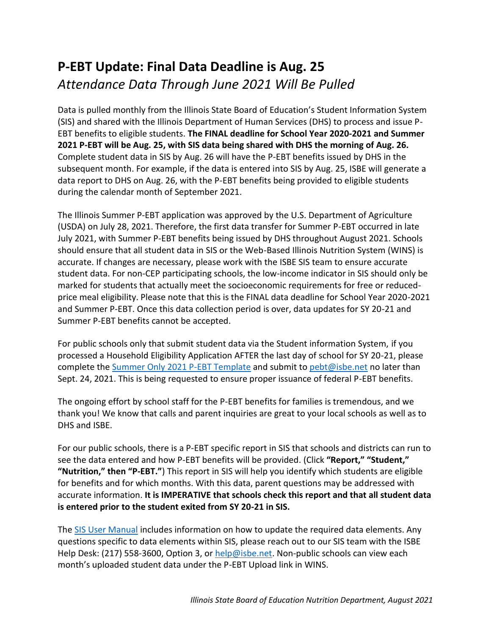## **P-EBT Update: Final Data Deadline is Aug. 25**  *Attendance Data Through June 2021 Will Be Pulled*

Data is pulled monthly from the Illinois State Board of Education's Student Information System (SIS) and shared with the Illinois Department of Human Services (DHS) to process and issue P-EBT benefits to eligible students. **The FINAL deadline for School Year 2020-2021 and Summer 2021 P-EBT will be Aug. 25, with SIS data being shared with DHS the morning of Aug. 26.**  Complete student data in SIS by Aug. 26 will have the P-EBT benefits issued by DHS in the subsequent month. For example, if the data is entered into SIS by Aug. 25, ISBE will generate a data report to DHS on Aug. 26, with the P-EBT benefits being provided to eligible students during the calendar month of September 2021.

The Illinois Summer P-EBT application was approved by the U.S. Department of Agriculture (USDA) on July 28, 2021. Therefore, the first data transfer for Summer P-EBT occurred in late July 2021, with Summer P-EBT benefits being issued by DHS throughout August 2021. Schools should ensure that all student data in SIS or the Web-Based Illinois Nutrition System (WINS) is accurate. If changes are necessary, please work with the ISBE SIS team to ensure accurate student data. For non-CEP participating schools, the low-income indicator in SIS should only be marked for students that actually meet the socioeconomic requirements for free or reducedprice meal eligibility. Please note that this is the FINAL data deadline for School Year 2020-2021 and Summer P-EBT. Once this data collection period is over, data updates for SY 20-21 and Summer P-EBT benefits cannot be accepted.

For public schools only that submit student data via the Student information System, if you processed a Household Eligibility Application AFTER the last day of school for SY 20-21, please complete th[e Summer Only 2021 P-EBT Template](https://www.isbe.net/_layouts/Download.aspx?SourceUrl=/Documents/SummerOnly2021PEBT-Template.csv) and submit to [pebt@isbe.net](mailto:pebt@isbe.net) no later than Sept. 24, 2021. This is being requested to ensure proper issuance of federal P-EBT benefits.

The ongoing effort by school staff for the P-EBT benefits for families is tremendous, and we thank you! We know that calls and parent inquiries are great to your local schools as well as to DHS and ISBE.

For our public schools, there is a P-EBT specific report in SIS that schools and districts can run to see the data entered and how P-EBT benefits will be provided. (Click **"Report," "Student," "Nutrition," then "P-EBT."**) This report in SIS will help you identify which students are eligible for benefits and for which months. With this data, parent questions may be addressed with accurate information. **It is IMPERATIVE that schools check this report and that all student data is entered prior to the student exited from SY 20-21 in SIS.**

The [SIS User Manual](https://www.isbe.net/Documents/sis-training.pdf) includes information on how to update the required data elements. Any questions specific to data elements within SIS, please reach out to our SIS team with the ISBE Help Desk: (217) 558-3600, Option 3, or [help@isbe.net.](mailto:help@isbe.net) Non-public schools can view each month's uploaded student data under the P-EBT Upload link in WINS.